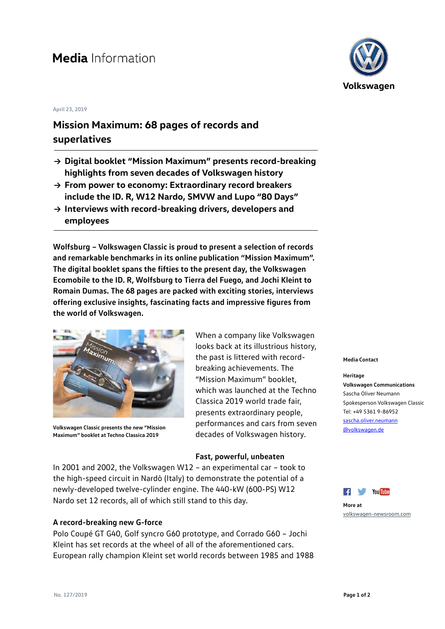# **Media** Information

#### **April 23, 2019**

## **Mission Maximum: 68 pages of records and superlatives**

- **→ Digital booklet "Mission Maximum" presents record-breaking highlights from seven decades of Volkswagen history**
- **→ From power to economy: Extraordinary record breakers include the ID. R, W12 Nardo, SMVW and Lupo "80 Days"**
- **→ Interviews with record-breaking drivers, developers and employees**

**Wolfsburg – Volkswagen Classic is proud to present a selection of records and remarkable benchmarks in its online publication "Mission Maximum". The digital booklet spans the fifties to the present day, the Volkswagen Ecomobile to the ID. R, Wolfsburg to Tierra del Fuego, and Jochi Kleint to Romain Dumas. The 68 pages are packed with exciting stories, interviews offering exclusive insights, fascinating facts and impressive figures from the world of Volkswagen.**



**Volkswagen Classic presents the new "Mission Maximum" booklet at Techno Classica 2019**

When a company like Volkswagen looks back at its illustrious history, the past is littered with recordbreaking achievements. The "Mission Maximum" booklet, which was launched at the Techno Classica 2019 world trade fair, presents extraordinary people, performances and cars from seven decades of Volkswagen history.

### **Fast, powerful, unbeaten**

In 2001 and 2002, the Volkswagen W12 – an experimental car – took to the high-speed circuit in Nardò (Italy) to demonstrate the potential of a newly-developed twelve-cylinder engine. The 440-kW (600-PS) W12 Nardo set 12 records, all of which still stand to this day.

## **A record-breaking new G-force**

Polo Coupé GT G40, Golf syncro G60 prototype, and Corrado G60 – Jochi Kleint has set records at the wheel of all of the aforementioned cars. European rally champion Kleint set world records between 1985 and 1988



#### **Media Contact**

**Heritage Volkswagen Communications** Sascha Oliver Neumann Spokesperson Volkswagen Classic Tel: +49 5361 9-86952 [sascha.oliver.neumann](mailto:sascha.oliver.neumann@volkswagen.de) [@volkswagen.de](mailto:sascha.oliver.neumann@volkswagen.de)



```
More at
volkswagen-newsroom.com
```